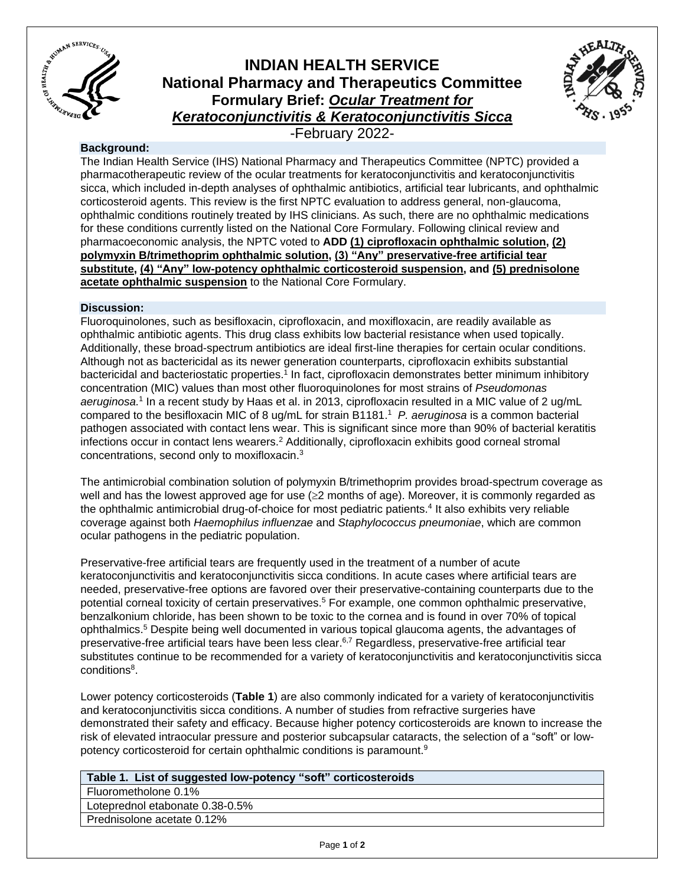

# **INDIAN HEALTH SERVICE National Pharmacy and Therapeutics Committee Formulary Brief:** *Ocular Treatment for Keratoconjunctivitis & Keratoconjunctivitis Sicca*



-February 2022-

## **Background:**

The Indian Health Service (IHS) National Pharmacy and Therapeutics Committee (NPTC) provided a pharmacotherapeutic review of the ocular treatments for keratoconjunctivitis and keratoconjunctivitis sicca, which included in-depth analyses of ophthalmic antibiotics, artificial tear lubricants, and ophthalmic corticosteroid agents. This review is the first NPTC evaluation to address general, non-glaucoma, ophthalmic conditions routinely treated by IHS clinicians. As such, there are no ophthalmic medications for these conditions currently listed on the National Core Formulary. Following clinical review and pharmacoeconomic analysis, the NPTC voted to **ADD (1) ciprofloxacin ophthalmic solution, (2) polymyxin B/trimethoprim ophthalmic solution, (3) "Any" preservative-free artificial tear substitute, (4) "Any" low-potency ophthalmic corticosteroid suspension, and (5) prednisolone acetate ophthalmic suspension** to the National Core Formulary.

## **Discussion:**

Fluoroquinolones, such as besifloxacin, ciprofloxacin, and moxifloxacin, are readily available as ophthalmic antibiotic agents. This drug class exhibits low bacterial resistance when used topically. Additionally, these broad-spectrum antibiotics are ideal first-line therapies for certain ocular conditions. Although not as bactericidal as its newer generation counterparts, ciprofloxacin exhibits substantial bactericidal and bacteriostatic properties.<sup>1</sup> In fact, ciprofloxacin demonstrates better minimum inhibitory concentration (MIC) values than most other fluoroquinolones for most strains of *Pseudomonas*  aeruginosa.<sup>1</sup> In a recent study by Haas et al. in 2013, ciprofloxacin resulted in a MIC value of 2 ug/mL compared to the besifloxacin MIC of 8 ug/mL for strain B1181.<sup>1</sup> *P. aeruginosa* is a common bacterial pathogen associated with contact lens wear. This is significant since more than 90% of bacterial keratitis infections occur in contact lens wearers.<sup>2</sup> Additionally, ciprofloxacin exhibits good corneal stromal concentrations, second only to moxifloxacin.<sup>3</sup>

The antimicrobial combination solution of polymyxin B/trimethoprim provides broad-spectrum coverage as well and has the lowest approved age for use  $(\geq 2$  months of age). Moreover, it is commonly regarded as the ophthalmic antimicrobial drug-of-choice for most pediatric patients.<sup>4</sup> It also exhibits very reliable coverage against both *Haemophilus influenzae* and *Staphylococcus pneumoniae*, which are common ocular pathogens in the pediatric population.

Preservative-free artificial tears are frequently used in the treatment of a number of acute keratoconjunctivitis and keratoconjunctivitis sicca conditions. In acute cases where artificial tears are needed, preservative-free options are favored over their preservative-containing counterparts due to the potential corneal toxicity of certain preservatives. <sup>5</sup> For example, one common ophthalmic preservative, benzalkonium chloride, has been shown to be toxic to the cornea and is found in over 70% of topical ophthalmics. <sup>5</sup> Despite being well documented in various topical glaucoma agents, the advantages of preservative-free artificial tears have been less clear.<sup>6,7</sup> Regardless, preservative-free artificial tear substitutes continue to be recommended for a variety of keratoconjunctivitis and keratoconjunctivitis sicca conditions<sup>8</sup>.

Lower potency corticosteroids (**Table 1**) are also commonly indicated for a variety of keratoconjunctivitis and keratoconjunctivitis sicca conditions. A number of studies from refractive surgeries have demonstrated their safety and efficacy. Because higher potency corticosteroids are known to increase the risk of elevated intraocular pressure and posterior subcapsular cataracts, the selection of a "soft" or lowpotency corticosteroid for certain ophthalmic conditions is paramount.<sup>9</sup>

# **Table 1. List of suggested low-potency "soft" corticosteroids**

Fluorometholone 0.1% Loteprednol etabonate 0.38-0.5% Prednisolone acetate 0.12%